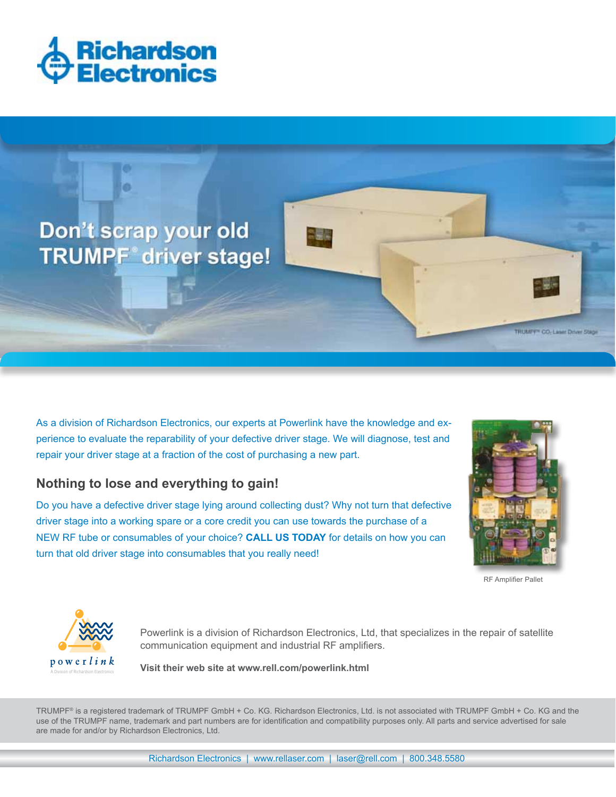



As a division of Richardson Electronics, our experts at Powerlink have the knowledge and experience to evaluate the reparability of your defective driver stage. We will diagnose, test and repair your driver stage at a fraction of the cost of purchasing a new part.

## **Nothing to lose and everything to gain!**

Do you have a defective driver stage lying around collecting dust? Why not turn that defective driver stage into a working spare or a core credit you can use towards the purchase of a NEW RF tube or consumables of your choice? **CALL US TODAY** for details on how you can turn that old driver stage into consumables that you really need!



RF Amplifier Pallet



Powerlink is a division of Richardson Electronics, Ltd, that specializes in the repair of satellite communication equipment and industrial RF amplifiers.

**D** O W e r *l i n k*<br>A Division of Richardson Electronics **Visit their web site at www.rell.com/powerlink.html** 

TRUMPF® is a registered trademark of TRUMPF GmbH + Co. KG. Richardson Electronics, Ltd. is not associated with TRUMPF GmbH + Co. KG and the use of the TRUMPF name, trademark and part numbers are for identification and compatibility purposes only. All parts and service advertised for sale are made for and/or by Richardson Electronics, Ltd.

Richardson Electronics | www.rellaser.com | laser@rell.com | 800.348.5580